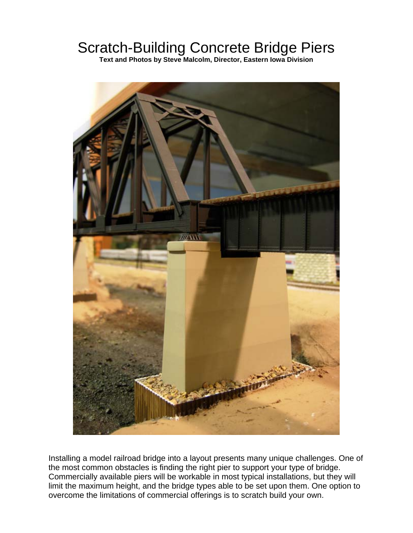## Scratch-Building Concrete Bridge Piers

**Text and Photos by Steve Malcolm, Director, Eastern Iowa Division**



Installing a model railroad bridge into a layout presents many unique challenges. One of the most common obstacles is finding the right pier to support your type of bridge. Commercially available piers will be workable in most typical installations, but they will limit the maximum height, and the bridge types able to be set upon them. One option to overcome the limitations of commercial offerings is to scratch build your own.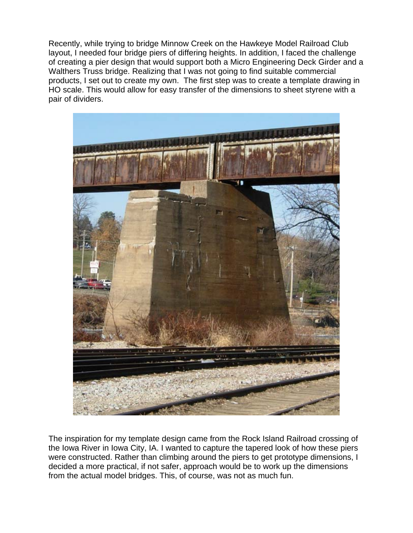Recently, while trying to bridge Minnow Creek on the Hawkeye Model Railroad Club layout, I needed four bridge piers of differing heights. In addition, I faced the challenge of creating a pier design that would support both a Micro Engineering Deck Girder and a Walthers Truss bridge. Realizing that I was not going to find suitable commercial products, I set out to create my own. The first step was to create a template drawing in HO scale. This would allow for easy transfer of the dimensions to sheet styrene with a pair of dividers.



The inspiration for my template design came from the Rock Island Railroad crossing of the Iowa River in Iowa City, IA. I wanted to capture the tapered look of how these piers were constructed. Rather than climbing around the piers to get prototype dimensions, I decided a more practical, if not safer, approach would be to work up the dimensions from the actual model bridges. This, of course, was not as much fun.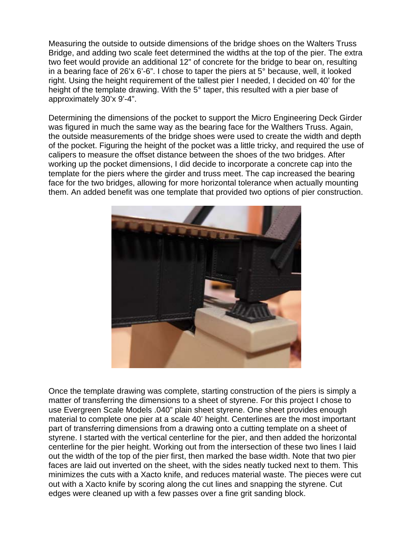Measuring the outside to outside dimensions of the bridge shoes on the Walters Truss Bridge, and adding two scale feet determined the widths at the top of the pier. The extra two feet would provide an additional 12" of concrete for the bridge to bear on, resulting in a bearing face of 26'x 6'-6". I chose to taper the piers at 5° because, well, it looked right. Using the height requirement of the tallest pier I needed, I decided on 40' for the height of the template drawing. With the 5° taper, this resulted with a pier base of approximately 30'x 9'-4".

Determining the dimensions of the pocket to support the Micro Engineering Deck Girder was figured in much the same way as the bearing face for the Walthers Truss. Again, the outside measurements of the bridge shoes were used to create the width and depth of the pocket. Figuring the height of the pocket was a little tricky, and required the use of calipers to measure the offset distance between the shoes of the two bridges. After working up the pocket dimensions, I did decide to incorporate a concrete cap into the template for the piers where the girder and truss meet. The cap increased the bearing face for the two bridges, allowing for more horizontal tolerance when actually mounting them. An added benefit was one template that provided two options of pier construction.



Once the template drawing was complete, starting construction of the piers is simply a matter of transferring the dimensions to a sheet of styrene. For this project I chose to use Evergreen Scale Models .040" plain sheet styrene. One sheet provides enough material to complete one pier at a scale 40' height. Centerlines are the most important part of transferring dimensions from a drawing onto a cutting template on a sheet of styrene. I started with the vertical centerline for the pier, and then added the horizontal centerline for the pier height. Working out from the intersection of these two lines I laid out the width of the top of the pier first, then marked the base width. Note that two pier faces are laid out inverted on the sheet, with the sides neatly tucked next to them. This minimizes the cuts with a Xacto knife, and reduces material waste. The pieces were cut out with a Xacto knife by scoring along the cut lines and snapping the styrene. Cut edges were cleaned up with a few passes over a fine grit sanding block.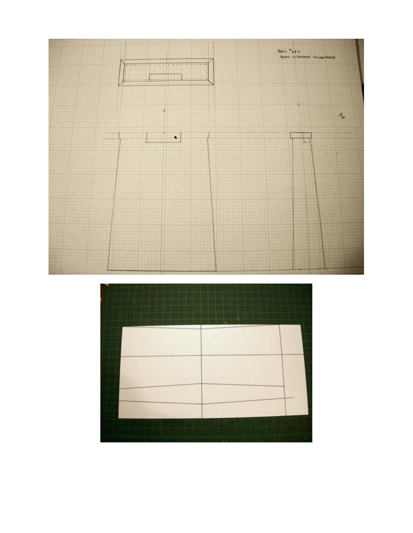

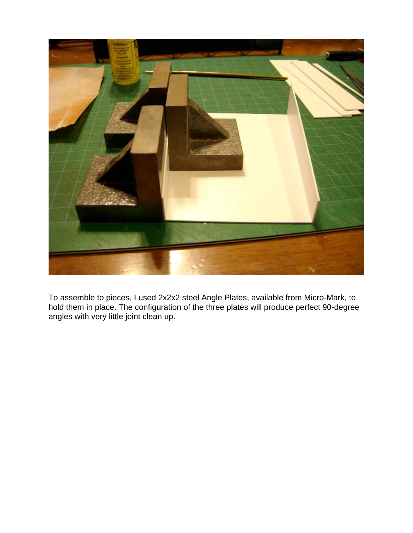

To assemble to pieces, I used 2x2x2 steel Angle Plates, available from Micro-Mark, to hold them in place. The configuration of the three plates will produce perfect 90-degree angles with very little joint clean up.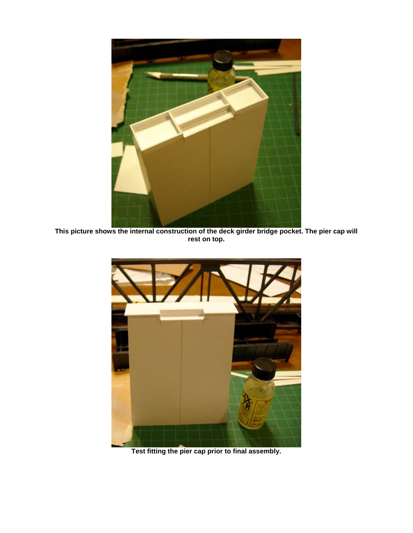

**This picture shows the internal construction of the deck girder bridge pocket. The pier cap will rest on top.** 



**Test fitting the pier cap prior to final assembly.**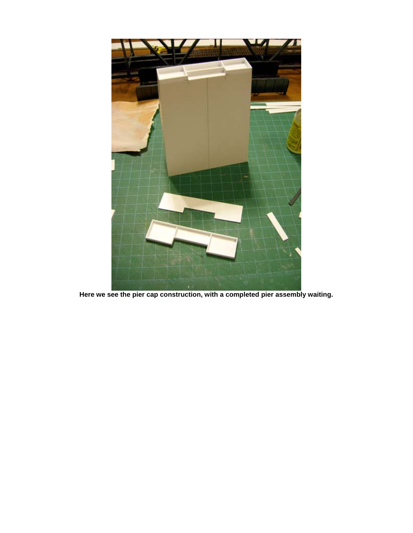

**Here we see the pier cap construction, with a completed pier assembly waiting.**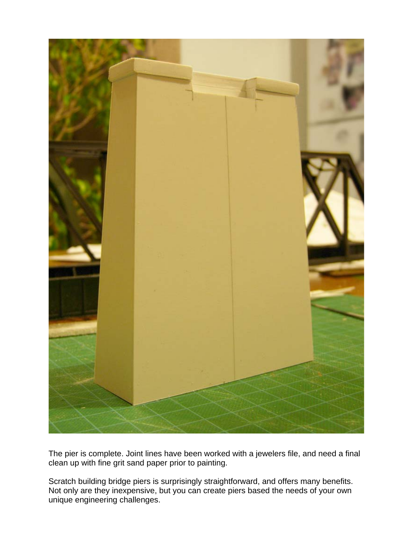

The pier is complete. Joint lines have been worked with a jewelers file, and need a final clean up with fine grit sand paper prior to painting.

Scratch building bridge piers is surprisingly straightforward, and offers many benefits. Not only are they inexpensive, but you can create piers based the needs of your own unique engineering challenges.